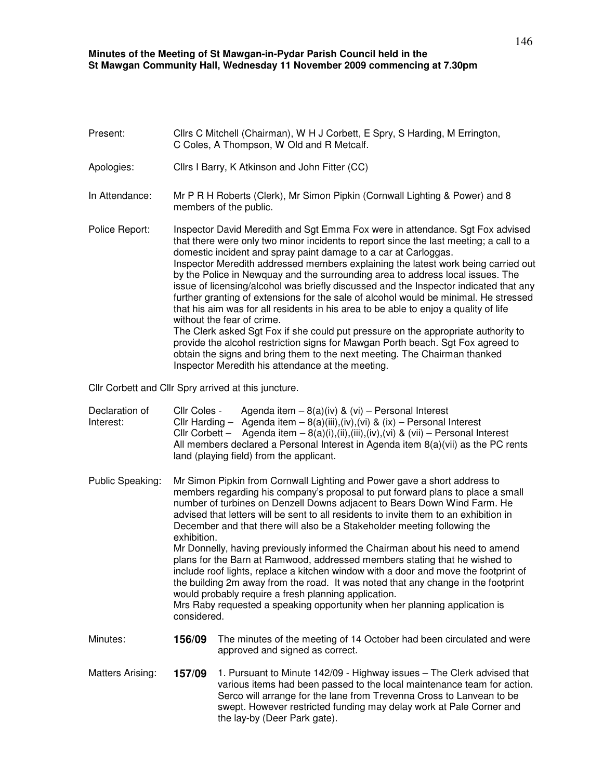## **Minutes of the Meeting of St Mawgan-in-Pydar Parish Council held in the St Mawgan Community Hall, Wednesday 11 November 2009 commencing at 7.30pm**

| Present:                    | Cllrs C Mitchell (Chairman), W H J Corbett, E Spry, S Harding, M Errington,<br>C Coles, A Thompson, W Old and R Metcalf.                                                                                                                                                                                                                                                                                                                                                                                                                                                                                                                                                                                                                                                                                                                                                                                                                                                                                                           |                                                                                                                                                                                                                                                                                                                                                                 |  |  |
|-----------------------------|------------------------------------------------------------------------------------------------------------------------------------------------------------------------------------------------------------------------------------------------------------------------------------------------------------------------------------------------------------------------------------------------------------------------------------------------------------------------------------------------------------------------------------------------------------------------------------------------------------------------------------------------------------------------------------------------------------------------------------------------------------------------------------------------------------------------------------------------------------------------------------------------------------------------------------------------------------------------------------------------------------------------------------|-----------------------------------------------------------------------------------------------------------------------------------------------------------------------------------------------------------------------------------------------------------------------------------------------------------------------------------------------------------------|--|--|
| Apologies:                  |                                                                                                                                                                                                                                                                                                                                                                                                                                                                                                                                                                                                                                                                                                                                                                                                                                                                                                                                                                                                                                    | Cllrs I Barry, K Atkinson and John Fitter (CC)                                                                                                                                                                                                                                                                                                                  |  |  |
| In Attendance:              | Mr P R H Roberts (Clerk), Mr Simon Pipkin (Cornwall Lighting & Power) and 8<br>members of the public.                                                                                                                                                                                                                                                                                                                                                                                                                                                                                                                                                                                                                                                                                                                                                                                                                                                                                                                              |                                                                                                                                                                                                                                                                                                                                                                 |  |  |
| Police Report:              | Inspector David Meredith and Sgt Emma Fox were in attendance. Sgt Fox advised<br>that there were only two minor incidents to report since the last meeting; a call to a<br>domestic incident and spray paint damage to a car at Carloggas.<br>Inspector Meredith addressed members explaining the latest work being carried out<br>by the Police in Newquay and the surrounding area to address local issues. The<br>issue of licensing/alcohol was briefly discussed and the Inspector indicated that any<br>further granting of extensions for the sale of alcohol would be minimal. He stressed<br>that his aim was for all residents in his area to be able to enjoy a quality of life<br>without the fear of crime.<br>The Clerk asked Sgt Fox if she could put pressure on the appropriate authority to<br>provide the alcohol restriction signs for Mawgan Porth beach. Sgt Fox agreed to<br>obtain the signs and bring them to the next meeting. The Chairman thanked<br>Inspector Meredith his attendance at the meeting. |                                                                                                                                                                                                                                                                                                                                                                 |  |  |
|                             |                                                                                                                                                                                                                                                                                                                                                                                                                                                                                                                                                                                                                                                                                                                                                                                                                                                                                                                                                                                                                                    | Cllr Corbett and Cllr Spry arrived at this juncture.                                                                                                                                                                                                                                                                                                            |  |  |
| Declaration of<br>Interest: | Cllr Coles -                                                                                                                                                                                                                                                                                                                                                                                                                                                                                                                                                                                                                                                                                                                                                                                                                                                                                                                                                                                                                       | Agenda item $-8(a)(iv)$ & (vi) - Personal Interest<br>Cllr Harding - Agenda item - $8(a)(iii),(iv),(vi)$ & $(ix)$ - Personal Interest<br>Cllr Corbett - Agenda item - 8(a)(i),(ii),(iii),(iv),(vi) & (vii) - Personal Interest<br>All members declared a Personal Interest in Agenda item 8(a)(vii) as the PC rents<br>land (playing field) from the applicant. |  |  |
| Public Speaking:            | Mr Simon Pipkin from Cornwall Lighting and Power gave a short address to<br>members regarding his company's proposal to put forward plans to place a small<br>number of turbines on Denzell Downs adjacent to Bears Down Wind Farm. He<br>advised that letters will be sent to all residents to invite them to an exhibition in<br>December and that there will also be a Stakeholder meeting following the<br>exhibition.<br>Mr Donnelly, having previously informed the Chairman about his need to amend<br>plans for the Barn at Ramwood, addressed members stating that he wished to<br>include roof lights, replace a kitchen window with a door and move the footprint of<br>the building 2m away from the road. It was noted that any change in the footprint<br>would probably require a fresh planning application.<br>Mrs Raby requested a speaking opportunity when her planning application is<br>considered.                                                                                                          |                                                                                                                                                                                                                                                                                                                                                                 |  |  |
| Minutes:                    | 156/09                                                                                                                                                                                                                                                                                                                                                                                                                                                                                                                                                                                                                                                                                                                                                                                                                                                                                                                                                                                                                             | The minutes of the meeting of 14 October had been circulated and were<br>approved and signed as correct.                                                                                                                                                                                                                                                        |  |  |
| Matters Arising:            | 157/09                                                                                                                                                                                                                                                                                                                                                                                                                                                                                                                                                                                                                                                                                                                                                                                                                                                                                                                                                                                                                             | 1. Pursuant to Minute 142/09 - Highway issues - The Clerk advised that<br>various items had been passed to the local maintenance team for action.<br>Serco will arrange for the lane from Trevenna Cross to Lanvean to be<br>swept. However restricted funding may delay work at Pale Corner and                                                                |  |  |

the lay-by (Deer Park gate).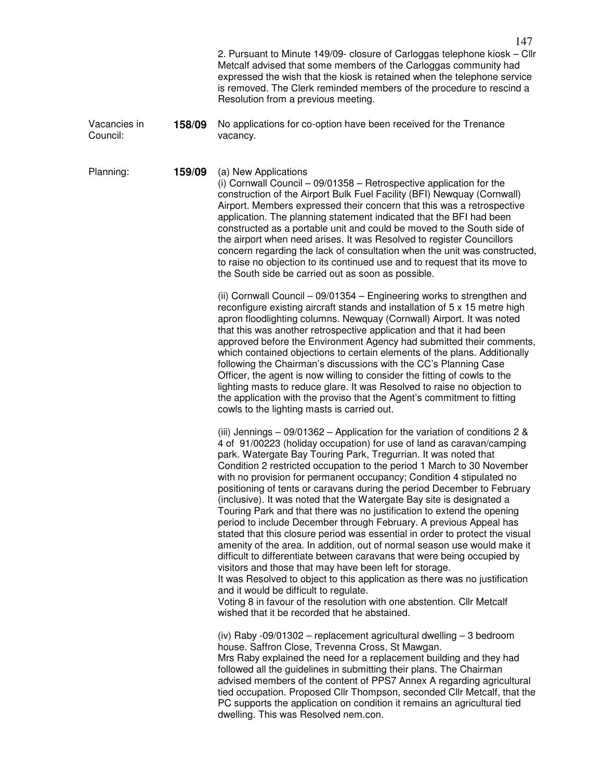|                          |        | 2. Pursuant to Minute 149/09- closure of Carloggas telephone kiosk - Cllr<br>Metcalf advised that some members of the Carloggas community had<br>expressed the wish that the kiosk is retained when the telephone service<br>is removed. The Clerk reminded members of the procedure to rescind a<br>Resolution from a previous meeting.                                                                                                                                                                                                                                                                                                                                                                                                                                                                                                                                                                                                                                                                                                                                                                                                                                                                                             |  |
|--------------------------|--------|--------------------------------------------------------------------------------------------------------------------------------------------------------------------------------------------------------------------------------------------------------------------------------------------------------------------------------------------------------------------------------------------------------------------------------------------------------------------------------------------------------------------------------------------------------------------------------------------------------------------------------------------------------------------------------------------------------------------------------------------------------------------------------------------------------------------------------------------------------------------------------------------------------------------------------------------------------------------------------------------------------------------------------------------------------------------------------------------------------------------------------------------------------------------------------------------------------------------------------------|--|
| Vacancies in<br>Council: | 158/09 | No applications for co-option have been received for the Trenance<br>vacancy.                                                                                                                                                                                                                                                                                                                                                                                                                                                                                                                                                                                                                                                                                                                                                                                                                                                                                                                                                                                                                                                                                                                                                        |  |
| Planning:                | 159/09 | (a) New Applications<br>(i) Cornwall Council $-09/01358$ - Retrospective application for the<br>construction of the Airport Bulk Fuel Facility (BFI) Newquay (Cornwall)<br>Airport. Members expressed their concern that this was a retrospective<br>application. The planning statement indicated that the BFI had been<br>constructed as a portable unit and could be moved to the South side of<br>the airport when need arises. It was Resolved to register Councillors<br>concern regarding the lack of consultation when the unit was constructed,<br>to raise no objection to its continued use and to request that its move to<br>the South side be carried out as soon as possible.                                                                                                                                                                                                                                                                                                                                                                                                                                                                                                                                         |  |
|                          |        | (ii) Cornwall Council - 09/01354 - Engineering works to strengthen and<br>reconfigure existing aircraft stands and installation of 5 x 15 metre high<br>apron floodlighting columns. Newquay (Cornwall) Airport. It was noted<br>that this was another retrospective application and that it had been<br>approved before the Environment Agency had submitted their comments,<br>which contained objections to certain elements of the plans. Additionally<br>following the Chairman's discussions with the CC's Planning Case<br>Officer, the agent is now willing to consider the fitting of cowls to the<br>lighting masts to reduce glare. It was Resolved to raise no objection to<br>the application with the proviso that the Agent's commitment to fitting<br>cowls to the lighting masts is carried out.                                                                                                                                                                                                                                                                                                                                                                                                                    |  |
|                          |        | (iii) Jennings $-09/01362$ - Application for the variation of conditions 2 &<br>4 of 91/00223 (holiday occupation) for use of land as caravan/camping<br>park. Watergate Bay Touring Park, Tregurrian. It was noted that<br>Condition 2 restricted occupation to the period 1 March to 30 November<br>with no provision for permanent occupancy; Condition 4 stipulated no<br>positioning of tents or caravans during the period December to February<br>(inclusive). It was noted that the Watergate Bay site is designated a<br>Touring Park and that there was no justification to extend the opening<br>period to include December through February. A previous Appeal has<br>stated that this closure period was essential in order to protect the visual<br>amenity of the area. In addition, out of normal season use would make it<br>difficult to differentiate between caravans that were being occupied by<br>visitors and those that may have been left for storage.<br>It was Resolved to object to this application as there was no justification<br>and it would be difficult to regulate.<br>Voting 8 in favour of the resolution with one abstention. Cllr Metcalf<br>wished that it be recorded that he abstained. |  |
|                          |        | (iv) Raby -09/01302 - replacement agricultural dwelling - 3 bedroom<br>house. Saffron Close, Trevenna Cross, St Mawgan.<br>Mrs Raby explained the need for a replacement building and they had<br>followed all the guidelines in submitting their plans. The Chairman<br>advised members of the content of PPS7 Annex A regarding agricultural<br>tied occupation. Proposed Cllr Thompson, seconded Cllr Metcalf, that the<br>PC supports the application on condition it remains an agricultural tied<br>dwelling. This was Resolved nem.con.                                                                                                                                                                                                                                                                                                                                                                                                                                                                                                                                                                                                                                                                                       |  |

147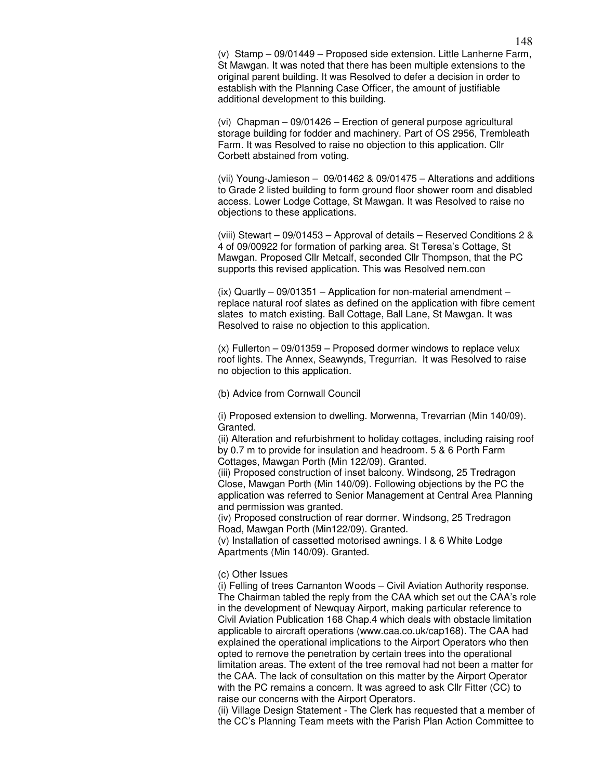(v) Stamp – 09/01449 – Proposed side extension. Little Lanherne Farm, St Mawgan. It was noted that there has been multiple extensions to the original parent building. It was Resolved to defer a decision in order to establish with the Planning Case Officer, the amount of justifiable additional development to this building.

(vi) Chapman – 09/01426 – Erection of general purpose agricultural storage building for fodder and machinery. Part of OS 2956, Trembleath Farm. It was Resolved to raise no objection to this application. Cllr Corbett abstained from voting.

(vii) Young-Jamieson – 09/01462 & 09/01475 – Alterations and additions to Grade 2 listed building to form ground floor shower room and disabled access. Lower Lodge Cottage, St Mawgan. It was Resolved to raise no objections to these applications.

(viii) Stewart – 09/01453 – Approval of details – Reserved Conditions 2 & 4 of 09/00922 for formation of parking area. St Teresa's Cottage, St Mawgan. Proposed Cllr Metcalf, seconded Cllr Thompson, that the PC supports this revised application. This was Resolved nem.con

(ix) Quartly – 09/01351 – Application for non-material amendment – replace natural roof slates as defined on the application with fibre cement slates to match existing. Ball Cottage, Ball Lane, St Mawgan. It was Resolved to raise no objection to this application.

(x) Fullerton – 09/01359 – Proposed dormer windows to replace velux roof lights. The Annex, Seawynds, Tregurrian. It was Resolved to raise no objection to this application.

(b) Advice from Cornwall Council

(i) Proposed extension to dwelling. Morwenna, Trevarrian (Min 140/09). Granted.

(ii) Alteration and refurbishment to holiday cottages, including raising roof by 0.7 m to provide for insulation and headroom. 5 & 6 Porth Farm Cottages, Mawgan Porth (Min 122/09). Granted.

(iii) Proposed construction of inset balcony. Windsong, 25 Tredragon Close, Mawgan Porth (Min 140/09). Following objections by the PC the application was referred to Senior Management at Central Area Planning and permission was granted.

(iv) Proposed construction of rear dormer. Windsong, 25 Tredragon Road, Mawgan Porth (Min122/09). Granted.

(v) Installation of cassetted motorised awnings. I & 6 White Lodge Apartments (Min 140/09). Granted.

(c) Other Issues

(i) Felling of trees Carnanton Woods – Civil Aviation Authority response. The Chairman tabled the reply from the CAA which set out the CAA's role in the development of Newquay Airport, making particular reference to Civil Aviation Publication 168 Chap.4 which deals with obstacle limitation applicable to aircraft operations (www.caa.co.uk/cap168). The CAA had explained the operational implications to the Airport Operators who then opted to remove the penetration by certain trees into the operational limitation areas. The extent of the tree removal had not been a matter for the CAA. The lack of consultation on this matter by the Airport Operator with the PC remains a concern. It was agreed to ask Cllr Fitter (CC) to raise our concerns with the Airport Operators.

(ii) Village Design Statement - The Clerk has requested that a member of the CC's Planning Team meets with the Parish Plan Action Committee to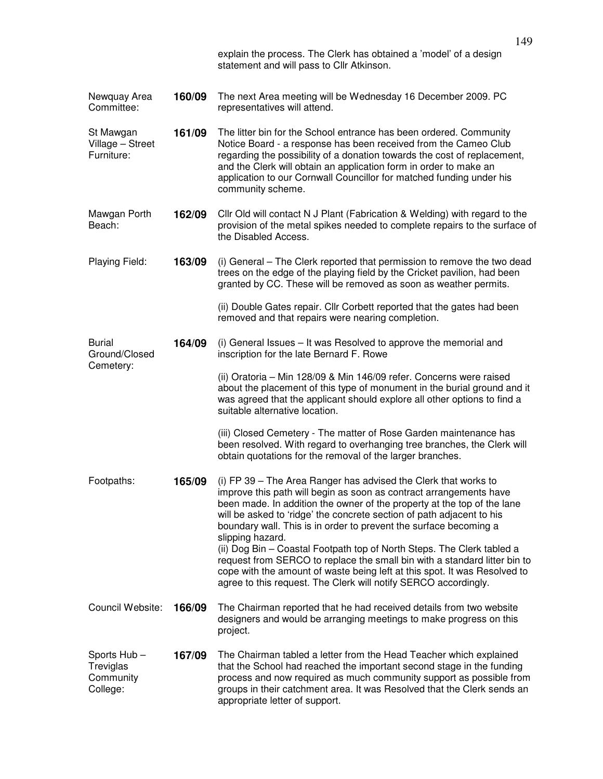|                                                   |        | explain the process. The Clerk has obtained a 'model' of a design<br>statement and will pass to Cllr Atkinson.                                                                                                                                                                                                                                                                                                                                                                                                                                                                                                                                                                            |  |
|---------------------------------------------------|--------|-------------------------------------------------------------------------------------------------------------------------------------------------------------------------------------------------------------------------------------------------------------------------------------------------------------------------------------------------------------------------------------------------------------------------------------------------------------------------------------------------------------------------------------------------------------------------------------------------------------------------------------------------------------------------------------------|--|
| Newquay Area<br>Committee:                        | 160/09 | The next Area meeting will be Wednesday 16 December 2009. PC<br>representatives will attend.                                                                                                                                                                                                                                                                                                                                                                                                                                                                                                                                                                                              |  |
| St Mawgan<br>Village - Street<br>Furniture:       | 161/09 | The litter bin for the School entrance has been ordered. Community<br>Notice Board - a response has been received from the Cameo Club<br>regarding the possibility of a donation towards the cost of replacement,<br>and the Clerk will obtain an application form in order to make an<br>application to our Cornwall Councillor for matched funding under his<br>community scheme.                                                                                                                                                                                                                                                                                                       |  |
| Mawgan Porth<br>Beach:                            | 162/09 | Cllr Old will contact N J Plant (Fabrication & Welding) with regard to the<br>provision of the metal spikes needed to complete repairs to the surface of<br>the Disabled Access.                                                                                                                                                                                                                                                                                                                                                                                                                                                                                                          |  |
| Playing Field:                                    | 163/09 | (i) General – The Clerk reported that permission to remove the two dead<br>trees on the edge of the playing field by the Cricket pavilion, had been<br>granted by CC. These will be removed as soon as weather permits.                                                                                                                                                                                                                                                                                                                                                                                                                                                                   |  |
|                                                   |        | (ii) Double Gates repair. Cllr Corbett reported that the gates had been<br>removed and that repairs were nearing completion.                                                                                                                                                                                                                                                                                                                                                                                                                                                                                                                                                              |  |
| <b>Burial</b><br>Ground/Closed<br>Cemetery:       | 164/09 | (i) General Issues – It was Resolved to approve the memorial and<br>inscription for the late Bernard F. Rowe                                                                                                                                                                                                                                                                                                                                                                                                                                                                                                                                                                              |  |
|                                                   |        | (ii) Oratoria - Min 128/09 & Min 146/09 refer. Concerns were raised<br>about the placement of this type of monument in the burial ground and it<br>was agreed that the applicant should explore all other options to find a<br>suitable alternative location.                                                                                                                                                                                                                                                                                                                                                                                                                             |  |
|                                                   |        | (iii) Closed Cemetery - The matter of Rose Garden maintenance has<br>been resolved. With regard to overhanging tree branches, the Clerk will<br>obtain quotations for the removal of the larger branches.                                                                                                                                                                                                                                                                                                                                                                                                                                                                                 |  |
| Footpaths:                                        | 165/09 | (i) FP 39 - The Area Ranger has advised the Clerk that works to<br>improve this path will begin as soon as contract arrangements have<br>been made. In addition the owner of the property at the top of the lane<br>will be asked to 'ridge' the concrete section of path adjacent to his<br>boundary wall. This is in order to prevent the surface becoming a<br>slipping hazard.<br>(ii) Dog Bin - Coastal Footpath top of North Steps. The Clerk tabled a<br>request from SERCO to replace the small bin with a standard litter bin to<br>cope with the amount of waste being left at this spot. It was Resolved to<br>agree to this request. The Clerk will notify SERCO accordingly. |  |
| Council Website:                                  | 166/09 | The Chairman reported that he had received details from two website<br>designers and would be arranging meetings to make progress on this<br>project.                                                                                                                                                                                                                                                                                                                                                                                                                                                                                                                                     |  |
| Sports Hub-<br>Treviglas<br>Community<br>College: | 167/09 | The Chairman tabled a letter from the Head Teacher which explained<br>that the School had reached the important second stage in the funding<br>process and now required as much community support as possible from<br>groups in their catchment area. It was Resolved that the Clerk sends an<br>appropriate letter of support.                                                                                                                                                                                                                                                                                                                                                           |  |